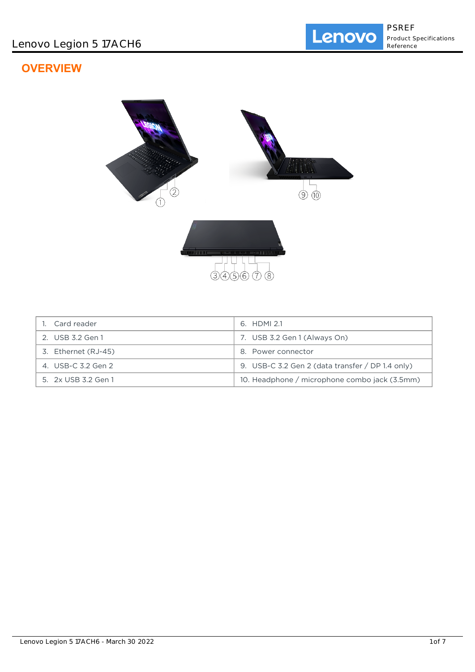# **OVERVIEW**



| 1. Card reader      | 6. HDMI 2.1                                      |
|---------------------|--------------------------------------------------|
| 2. USB 3.2 Gen 1    | 7. USB 3.2 Gen 1 (Always On)                     |
| 3. Ethernet (RJ-45) | 8. Power connector                               |
| 4. USB-C 3.2 Gen 2  | 9. USB-C 3.2 Gen 2 (data transfer / DP 1.4 only) |
| 5. 2x USB 3.2 Gen 1 | 10. Headphone / microphone combo jack (3.5mm)    |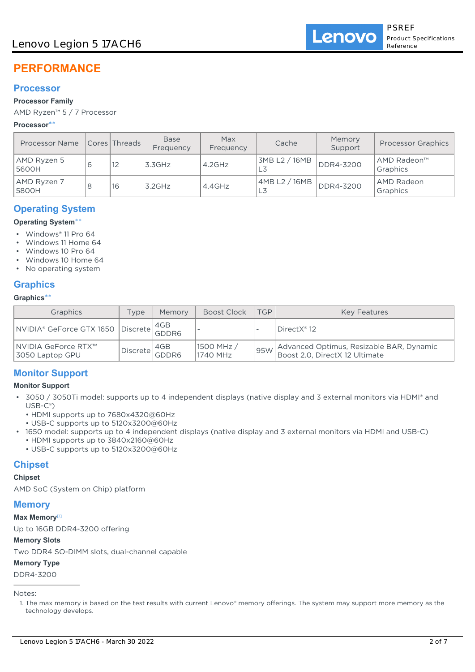# **PERFORMANCE**

## **Processor**

### **Processor Family**

AMD Ryzen™ 5 / 7 Processor

#### **Processor**\*\*

| <b>Processor Name</b> | Cores   Threads | <b>Base</b><br>Frequency | Max<br>Frequency | Cache               | Memory<br>Support | <b>Processor Graphics</b>     |
|-----------------------|-----------------|--------------------------|------------------|---------------------|-------------------|-------------------------------|
| AMD Ryzen 5<br>5600H  | 12              | 3.3GHz                   | $4.2$ GHz        | 3MB L2 / 16MB       | DDR4-3200         | AMD Radeon™<br>Graphics       |
| AMD Ryzen 7<br>5800H  | 16              | $3.2$ GHz                | $4.4$ GHz        | 4MB L2 / 16MB<br>L3 | DDR4-3200         | <b>AMD Radeon</b><br>Graphics |

## **Operating System**

#### **Operating System**\*\*

- Windows® 11 Pro 64
- Windows 11 Home 64
- Windows 10 Pro 64
- Windows 10 Home 64
- No operating system

## **Graphics**

#### **Graphics**\*\*

| Graphics                                                      | Type           | Memory | Boost Clock            | <b>TGP</b> | <b>Key Features</b>                                                        |
|---------------------------------------------------------------|----------------|--------|------------------------|------------|----------------------------------------------------------------------------|
| NVIDIA® GeForce GTX 1650 Discrete 4GB<br>———————————————————— |                |        |                        |            | DirectX <sup>®</sup> 12                                                    |
| ∣NVIDIA GeForce RTX™<br>3050 Laptop GPU                       | Discrete GDDR6 | 4GB    | 1500 MHz /<br>1740 MHz | 95W        | Advanced Optimus, Resizable BAR, Dynamic<br>Boost 2.0, DirectX 12 Ultimate |

## **Monitor Support**

### **Monitor Support**

- 3050 / 3050Ti model: supports up to 4 independent displays (native display and 3 external monitors via HDMI® and USB-C®)
	- HDMI supports up to 7680x4320@60Hz
	- USB-C supports up to 5120x3200@60Hz
- 1650 model: supports up to 4 independent displays (native display and 3 external monitors via HDMI and USB-C) • HDMI supports up to 3840x2160@60Hz
	- USB-C supports up to 5120x3200@60Hz

## **Chipset**

### **Chipset**

AMD SoC (System on Chip) platform

### **Memory**

#### **Max Memory**[1]

Up to 16GB DDR4-3200 offering

#### **Memory Slots**

Two DDR4 SO-DIMM slots, dual-channel capable

### **Memory Type**

DDR4-3200

Notes:

<sup>1.</sup> The max memory is based on the test results with current Lenovo® memory offerings. The system may support more memory as the technology develops.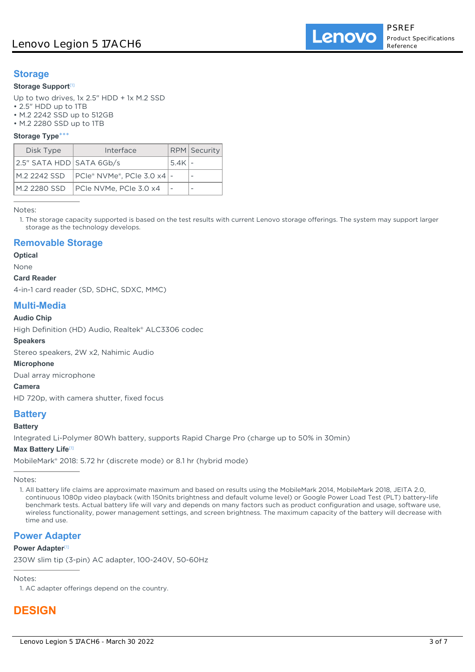## **Storage**

#### **Storage Support**[1]

Up to two drives, 1x 2.5" HDD + 1x M.2 SSD

- 2.5" HDD up to 1TB
- M.2 2242 SSD up to 512GB
- M.2 2280 SSD up to 1TB

#### **Storage Type**\*\*\*

| Disk Type                | Interface                           |         | <b>RPM</b> Security |
|--------------------------|-------------------------------------|---------|---------------------|
| 2.5" SATA HDD SATA 6Gb/s |                                     | 15.4K l |                     |
|                          |                                     |         |                     |
|                          | M.2 2280 SSD PCle NVMe, PCle 3.0 x4 |         |                     |

Notes:

1. The storage capacity supported is based on the test results with current Lenovo storage offerings. The system may support larger storage as the technology develops.

## **Removable Storage**

**Optical**

#### None

**Card Reader**

4-in-1 card reader (SD, SDHC, SDXC, MMC)

### **Multi-Media**

#### **Audio Chip**

High Definition (HD) Audio, Realtek® ALC3306 codec

#### **Speakers**

Stereo speakers, 2W x2, Nahimic Audio

#### **Microphone**

Dual array microphone

#### **Camera**

HD 720p, with camera shutter, fixed focus

## **Battery**

#### **Battery**

Integrated Li-Polymer 80Wh battery, supports Rapid Charge Pro (charge up to 50% in 30min)

#### **Max Battery Life**[1]

MobileMark® 2018: 5.72 hr (discrete mode) or 8.1 hr (hybrid mode)

Notes:

### **Power Adapter**

#### **Power Adapter**<sup>[1]</sup>

230W slim tip (3-pin) AC adapter, 100-240V, 50-60Hz

Notes:

1. AC adapter offerings depend on the country.

# **DESIGN**

<sup>1.</sup> All battery life claims are approximate maximum and based on results using the MobileMark 2014, MobileMark 2018, JEITA 2.0, continuous 1080p video playback (with 150nits brightness and default volume level) or Google Power Load Test (PLT) battery-life benchmark tests. Actual battery life will vary and depends on many factors such as product configuration and usage, software use, wireless functionality, power management settings, and screen brightness. The maximum capacity of the battery will decrease with time and use.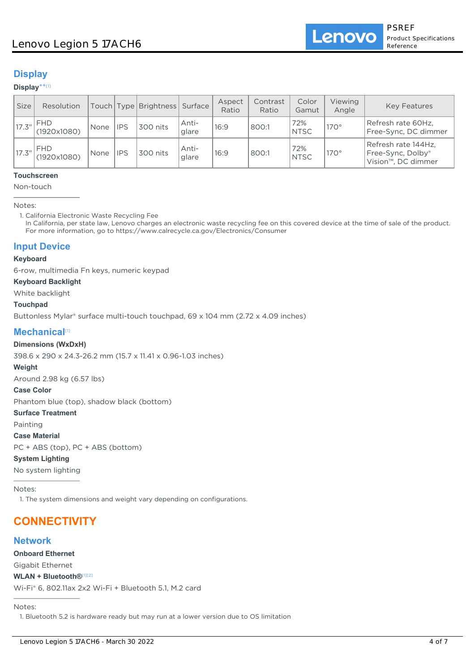## **Display**

#### **Display**\*\* [1]

| <b>Size</b> | Resolution                |      |            | Touch Type Brightness Surface |                 | Aspect<br>Ratio | Contrast<br>Ratio | Color<br>Gamut     | <b>Viewing</b><br>Angle | <b>Key Features</b>                                                         |
|-------------|---------------------------|------|------------|-------------------------------|-----------------|-----------------|-------------------|--------------------|-------------------------|-----------------------------------------------------------------------------|
| 17.3''      | <b>FHD</b><br>(1920x1080) | None | <b>IPS</b> | 300 nits                      | Anti-<br>'glare | 16:9            | 800:1             | 72%<br><b>NTSC</b> | $170^\circ$             | Refresh rate 60Hz,<br>Free-Sync, DC dimmer                                  |
| 17.3''      | <b>FHD</b><br>(1920x1080) | None | <b>IPS</b> | 300 nits                      | Anti-<br>glare  | 16:9            | 800:1             | 72%<br><b>NTSC</b> | $170^\circ$             | Refresh rate 144Hz,<br>Free-Sync, Dolby®<br>Vision <sup>™</sup> , DC dimmer |

#### **Touchscreen**

Non-touch

Notes:

1. California Electronic Waste Recycling Fee

In California, per state law, Lenovo charges an electronic waste recycling fee on this covered device at the time of sale of the product. For more information, go to https://www.calrecycle.ca.gov/Electronics/Consumer

## **Input Device**

#### **Keyboard**

6-row, multimedia Fn keys, numeric keypad

#### **Keyboard Backlight**

White backlight

#### **Touchpad**

Buttonless Mylar® surface multi-touch touchpad, 69 x 104 mm (2.72 x 4.09 inches)

### **Mechanical**[1]

#### **Dimensions (WxDxH)**

398.6 x 290 x 24.3-26.2 mm (15.7 x 11.41 x 0.96-1.03 inches)

#### **Weight**

Around 2.98 kg (6.57 lbs)

#### **Case Color**

Phantom blue (top), shadow black (bottom)

#### **Surface Treatment**

Painting

#### **Case Material**

PC + ABS (top), PC + ABS (bottom)

### **System Lighting**

No system lighting

Notes:

1. The system dimensions and weight vary depending on configurations.

# **CONNECTIVITY**

### **Network**

**Onboard Ethernet**

Gigabit Ethernet

#### **WLAN + Bluetooth®**[1][2]

Wi-Fi® 6, 802.11ax 2x2 Wi-Fi + Bluetooth 5.1, M.2 card

#### Notes:

1. Bluetooth 5.2 is hardware ready but may run at a lower version due to OS limitation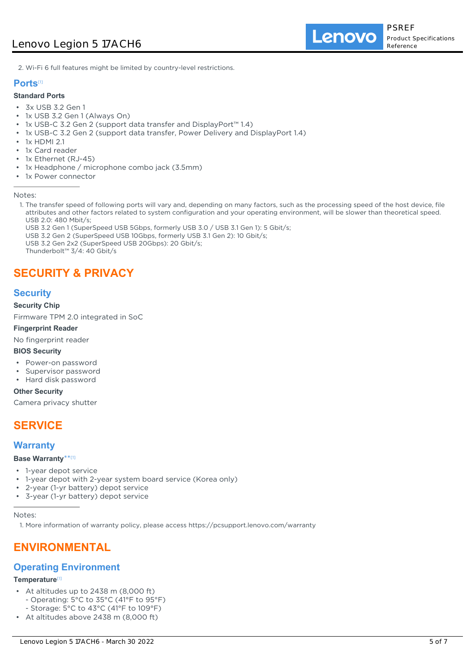Lenovo

2. Wi-Fi 6 full features might be limited by country-level restrictions.

#### **Ports**[1]

#### **Standard Ports**

- 3x USB 3.2 Gen 1
- 1x USB 3.2 Gen 1 (Always On)
- 1x USB-C 3.2 Gen 2 (support data transfer and DisplayPort™ 1.4)
- 1x USB-C 3.2 Gen 2 (support data transfer, Power Delivery and DisplayPort 1.4)
- 1x HDMI 2.1
- 1x Card reader
- 1x Ethernet (RJ-45)
- 1x Headphone / microphone combo jack (3.5mm)
- 1x Power connector

Notes:

- 1. The transfer speed of following ports will vary and, depending on many factors, such as the processing speed of the host device, file attributes and other factors related to system configuration and your operating environment, will be slower than theoretical speed. USB 2.0: 480 Mbit/s;
	- USB 3.2 Gen 1 (SuperSpeed USB 5Gbps, formerly USB 3.0 / USB 3.1 Gen 1): 5 Gbit/s;

USB 3.2 Gen 2 (SuperSpeed USB 10Gbps, formerly USB 3.1 Gen 2): 10 Gbit/s;

USB 3.2 Gen 2x2 (SuperSpeed USB 20Gbps): 20 Gbit/s;

Thunderbolt™ 3/4: 40 Gbit/s

# **SECURITY & PRIVACY**

## **Security**

**Security Chip**

Firmware TPM 2.0 integrated in SoC

#### **Fingerprint Reader**

No fingerprint reader

#### **BIOS Security**

- Power-on password
- Supervisor password
- Hard disk password

**Other Security**

Camera privacy shutter

# **SERVICE**

### **Warranty**

#### **Base Warranty**\*\* [1]

- 1-year depot service
- 1-year depot with 2-year system board service (Korea only)
- 2-year (1-yr battery) depot service
- 3-year (1-yr battery) depot service

Notes:

1. More information of warranty policy, please access https://pcsupport.lenovo.com/warranty

## **ENVIRONMENTAL**

### **Operating Environment**

#### **Temperature**[1]

- At altitudes up to 2438 m (8,000 ft)
	- Operating: 5°C to 35°C (41°F to 95°F)
	- Storage: 5°C to 43°C (41°F to 109°F)
- At altitudes above 2438 m (8,000 ft)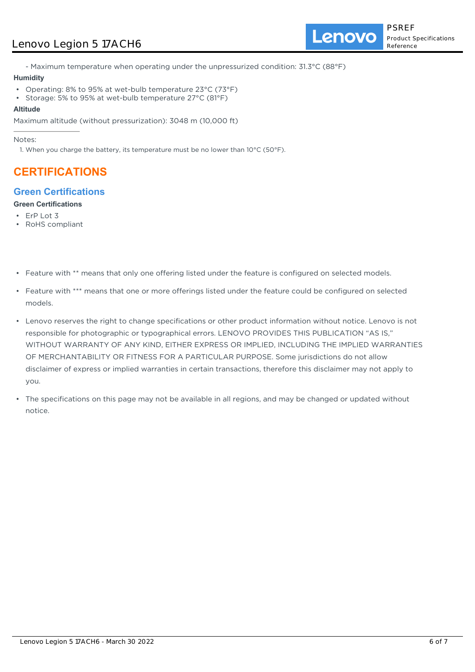## Lenovo Legion 5 17ACH6

Lenovo

- Maximum temperature when operating under the unpressurized condition: 31.3°C (88°F)

#### **Humidity**

- Operating: 8% to 95% at wet-bulb temperature 23°C (73°F)
- Storage: 5% to 95% at wet-bulb temperature 27°C (81°F)

#### **Altitude**

Maximum altitude (without pressurization): 3048 m (10,000 ft)

Notes:

1. When you charge the battery, its temperature must be no lower than  $10^{\circ}$ C (50°F).

# **CERTIFICATIONS**

## **Green Certifications**

### **Green Certifications**

- ErP Lot 3
- RoHS compliant
- Feature with \*\* means that only one offering listed under the feature is configured on selected models.
- Feature with \*\*\* means that one or more offerings listed under the feature could be configured on selected models.
- Lenovo reserves the right to change specifications or other product information without notice. Lenovo is not responsible for photographic or typographical errors. LENOVO PROVIDES THIS PUBLICATION "AS IS," WITHOUT WARRANTY OF ANY KIND, EITHER EXPRESS OR IMPLIED, INCLUDING THE IMPLIED WARRANTIES OF MERCHANTABILITY OR FITNESS FOR A PARTICULAR PURPOSE. Some jurisdictions do not allow disclaimer of express or implied warranties in certain transactions, therefore this disclaimer may not apply to you.
- The specifications on this page may not be available in all regions, and may be changed or updated without notice.